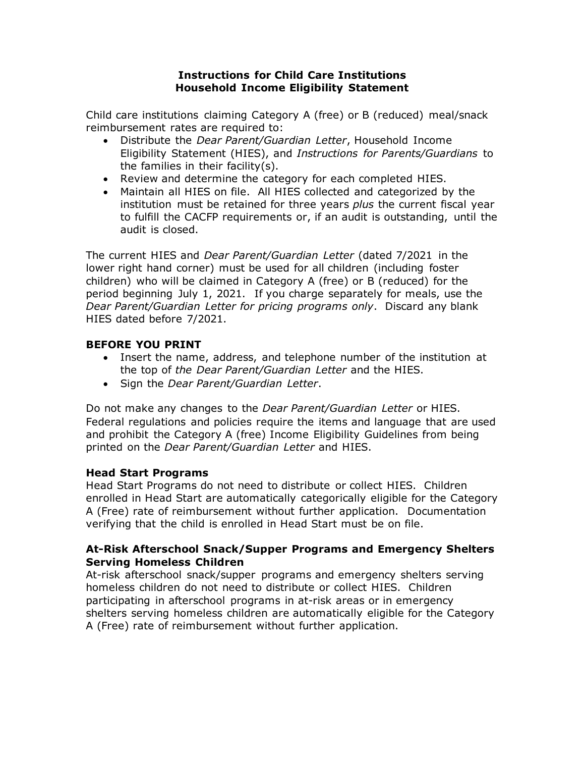#### **Instructions for Child Care Institutions Household Income Eligibility Statement**

Child care institutions claiming Category A (free) or B (reduced) meal/snack reimbursement rates are required to:

- Distribute the *Dear Parent/Guardian Letter*, Household Income Eligibility Statement (HIES), and *Instructions for Parents/Guardians* to the families in their facility(s).
- Review and determine the category for each completed HIES.
- Maintain all HIES on file. All HIES collected and categorized by the institution must be retained for three years *plus* the current fiscal year to fulfill the CACFP requirements or, if an audit is outstanding, until the audit is closed.

The current HIES and *Dear Parent/Guardian Letter* (dated 7/2021 in the lower right hand corner) must be used for all children (including foster children) who will be claimed in Category A (free) or B (reduced) for the period beginning July 1, 2021. If you charge separately for meals, use the *Dear Parent/Guardian Letter for pricing programs only*. Discard any blank HIES dated before 7/2021.

# **BEFORE YOU PRINT**

- Insert the name, address, and telephone number of the institution at the top of *the Dear Parent/Guardian Letter* and the HIES.
- Sign the *Dear Parent/Guardian Letter*.

Do not make any changes to the *Dear Parent/Guardian Letter* or HIES. Federal regulations and policies require the items and language that are used and prohibit the Category A (free) Income Eligibility Guidelines from being printed on the *Dear Parent/Guardian Letter* and HIES.

### **Head Start Programs**

Head Start Programs do not need to distribute or collect HIES. Children enrolled in Head Start are automatically categorically eligible for the Category A (Free) rate of reimbursement without further application. Documentation verifying that the child is enrolled in Head Start must be on file.

### **At-Risk Afterschool Snack/Supper Programs and Emergency Shelters Serving Homeless Children**

At-risk afterschool snack/supper programs and emergency shelters serving homeless children do not need to distribute or collect HIES. Children participating in afterschool programs in at-risk areas or in emergency shelters serving homeless children are automatically eligible for the Category A (Free) rate of reimbursement without further application.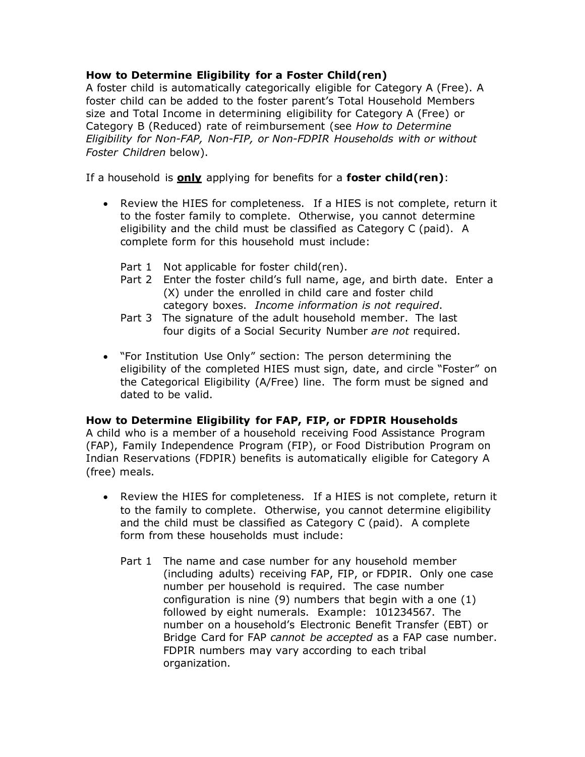## **How to Determine Eligibility for a Foster Child(ren)**

A foster child is automatically categorically eligible for Category A (Free). A foster child can be added to the foster parent's Total Household Members size and Total Income in determining eligibility for Category A (Free) or Category B (Reduced) rate of reimbursement (see *How to Determine Eligibility for Non-FAP, Non-FIP, or Non-FDPIR Households with or without Foster Children* below).

If a household is **only** applying for benefits for a **foster child(ren)**:

- Review the HIES for completeness. If a HIES is not complete, return it to the foster family to complete. Otherwise, you cannot determine eligibility and the child must be classified as Category C (paid). A complete form for this household must include:
	- Part 1 Not applicable for foster child(ren).
	- Part 2 Enter the foster child's full name, age, and birth date. Enter a (X) under the enrolled in child care and foster child category boxes. *Income information is not required*.
	- Part 3 The signature of the adult household member. The last four digits of a Social Security Number *are not* required.
- "For Institution Use Only" section: The person determining the eligibility of the completed HIES must sign, date, and circle "Foster" on the Categorical Eligibility (A/Free) line. The form must be signed and dated to be valid.

### **How to Determine Eligibility for FAP, FIP, or FDPIR Households**

A child who is a member of a household receiving Food Assistance Program (FAP), Family Independence Program (FIP), or Food Distribution Program on Indian Reservations (FDPIR) benefits is automatically eligible for Category A (free) meals.

- Review the HIES for completeness. If a HIES is not complete, return it to the family to complete. Otherwise, you cannot determine eligibility and the child must be classified as Category C (paid). A complete form from these households must include:
	- Part 1 The name and case number for any household member (including adults) receiving FAP, FIP, or FDPIR. Only one case number per household is required. The case number configuration is nine (9) numbers that begin with a one (1) followed by eight numerals. Example: 101234567. The number on a household's Electronic Benefit Transfer (EBT) or Bridge Card for FAP *cannot be accepted* as a FAP case number. FDPIR numbers may vary according to each tribal organization.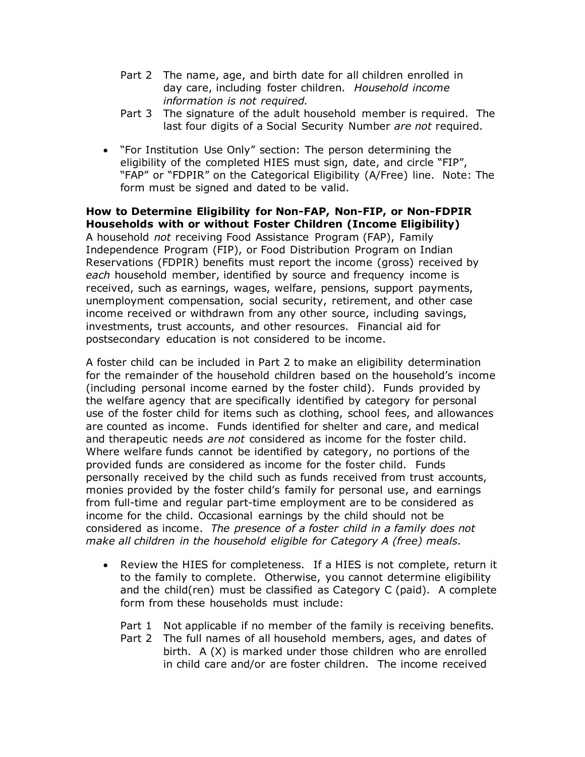- Part 2 The name, age, and birth date for all children enrolled in day care, including foster children. *Household income information is not required.*
- Part 3 The signature of the adult household member is required. The last four digits of a Social Security Number *are not* required.
- "For Institution Use Only" section: The person determining the eligibility of the completed HIES must sign, date, and circle "FIP", "FAP" or "FDPIR" on the Categorical Eligibility (A/Free) line. Note: The form must be signed and dated to be valid.

**How to Determine Eligibility for Non-FAP, Non-FIP, or Non-FDPIR Households with or without Foster Children (Income Eligibility)** A household *not* receiving Food Assistance Program (FAP), Family Independence Program (FIP), or Food Distribution Program on Indian Reservations (FDPIR) benefits must report the income (gross) received by *each* household member, identified by source and frequency income is received, such as earnings, wages, welfare, pensions, support payments, unemployment compensation, social security, retirement, and other case income received or withdrawn from any other source, including savings, investments, trust accounts, and other resources. Financial aid for postsecondary education is not considered to be income.

A foster child can be included in Part 2 to make an eligibility determination for the remainder of the household children based on the household's income (including personal income earned by the foster child). Funds provided by the welfare agency that are specifically identified by category for personal use of the foster child for items such as clothing, school fees, and allowances are counted as income. Funds identified for shelter and care, and medical and therapeutic needs *are not* considered as income for the foster child. Where welfare funds cannot be identified by category, no portions of the provided funds are considered as income for the foster child. Funds personally received by the child such as funds received from trust accounts, monies provided by the foster child's family for personal use, and earnings from full-time and regular part-time employment are to be considered as income for the child. Occasional earnings by the child should not be considered as income. *The presence of a foster child in a family does not make all children in the household eligible for Category A (free) meals*.

- Review the HIES for completeness. If a HIES is not complete, return it to the family to complete. Otherwise, you cannot determine eligibility and the child(ren) must be classified as Category C (paid). A complete form from these households must include:
	- Part 1 Not applicable if no member of the family is receiving benefits.
	- Part 2 The full names of all household members, ages, and dates of birth. A (X) is marked under those children who are enrolled in child care and/or are foster children. The income received